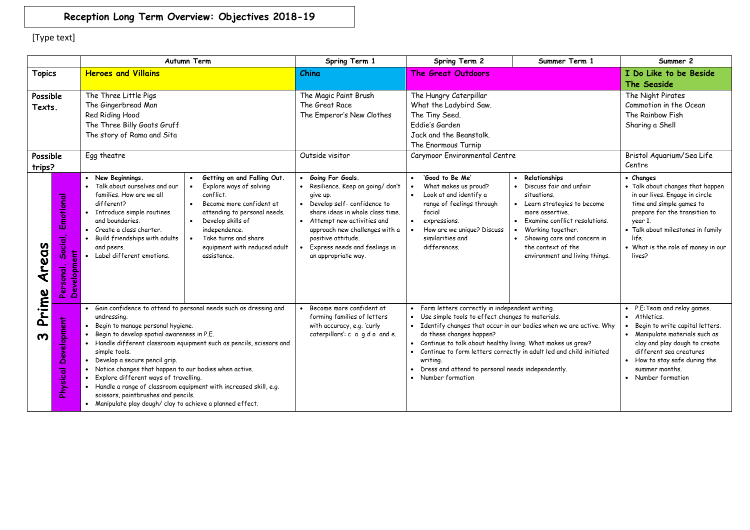## **Reception Long Term Overview: Objectives 2018-19**

[Type text]

|                                |                                                                            | <b>Autumn Term</b>                                                                                                                                                                                                                                                                                                                                                                                                                                                                                                                                                       | Spring Term 1                                                                                                                                                                                                                                                                          | Spring Term 2                                                                                                                                                                                                                                                                                                                                                                                                                             | Summer Term 1                                                                                                                                                                                                                                         | Summer 2                                                                                                                                                                                                                                              |
|--------------------------------|----------------------------------------------------------------------------|--------------------------------------------------------------------------------------------------------------------------------------------------------------------------------------------------------------------------------------------------------------------------------------------------------------------------------------------------------------------------------------------------------------------------------------------------------------------------------------------------------------------------------------------------------------------------|----------------------------------------------------------------------------------------------------------------------------------------------------------------------------------------------------------------------------------------------------------------------------------------|-------------------------------------------------------------------------------------------------------------------------------------------------------------------------------------------------------------------------------------------------------------------------------------------------------------------------------------------------------------------------------------------------------------------------------------------|-------------------------------------------------------------------------------------------------------------------------------------------------------------------------------------------------------------------------------------------------------|-------------------------------------------------------------------------------------------------------------------------------------------------------------------------------------------------------------------------------------------------------|
| <b>Topics</b>                  |                                                                            | <b>Heroes and Villains</b>                                                                                                                                                                                                                                                                                                                                                                                                                                                                                                                                               | China                                                                                                                                                                                                                                                                                  | <b>The Great Outdoors</b>                                                                                                                                                                                                                                                                                                                                                                                                                 |                                                                                                                                                                                                                                                       | I Do Like to be Beside<br>The Seaside                                                                                                                                                                                                                 |
| Possible<br>Texts.             |                                                                            | The Three Little Pigs<br>The Gingerbread Man<br>Red Riding Hood<br>The Three Billy Goats Gruff<br>The story of Rama and Sita                                                                                                                                                                                                                                                                                                                                                                                                                                             | The Magic Paint Brush<br>The Great Race<br>The Emperor's New Clothes                                                                                                                                                                                                                   | The Hungry Caterpillar<br>What the Ladybird Saw.<br>The Tiny Seed.<br>Fddie's Garden<br>Jack and the Beanstalk.<br>The Enormous Turnip                                                                                                                                                                                                                                                                                                    |                                                                                                                                                                                                                                                       | The Night Pirates<br>Commotion in the Ocean<br>The Rainbow Fish<br>Sharing a Shell                                                                                                                                                                    |
| Possible<br>trips?             |                                                                            | Egg theatre                                                                                                                                                                                                                                                                                                                                                                                                                                                                                                                                                              | Outside visitor                                                                                                                                                                                                                                                                        | Carymoor Environmental Centre                                                                                                                                                                                                                                                                                                                                                                                                             |                                                                                                                                                                                                                                                       | Bristol Aquarium/Sea Life<br>Centre                                                                                                                                                                                                                   |
| <b>2D3</b>                     | Emotional<br>$\sim$<br>$\overline{a}$<br>စို့<br>Ë<br>Developm<br>Personal | Getting on and Falling Out.<br>• New Beginnings.<br>• Talk about ourselves and our<br>Explore ways of solving<br>conflict.<br>families. How are we all<br>different?<br>Become more confident at<br>• Introduce simple routines<br>attending to personal needs.<br>and boundaries.<br>Develop skills of<br>$\bullet$<br>• Create a class charter.<br>independence.<br>Take turns and share<br>Build friendships with adults<br>equipment with reduced adult<br>and peers.<br>• Label different emotions.<br>assistance.                                                  | Going For Goals.<br>· Resilience. Keep on going/ don't<br>give up.<br>• Develop self-confidence to<br>share ideas in whole class time.<br>• Attempt new activities and<br>approach new challenges with a<br>positive attitude.<br>Express needs and feelings in<br>an appropriate way. | 'Good to Be Me'<br>What makes us proud?<br>Look at and identify a<br>range of feelings through<br>facial<br>expressions.<br>$\bullet$<br>How are we unique? Discuss<br>similarities and<br>differences.                                                                                                                                                                                                                                   | Relationships<br>Discuss fair and unfair<br>situations.<br>Learn strategies to become<br>more assertive.<br>Examine conflict resolutions.<br>Working together.<br>Showing care and concern in<br>the context of the<br>environment and living things. | • Changes<br>• Talk about changes that happen<br>in our lives. Engage in circle<br>time and simple games to<br>prepare for the transition to<br>year 1.<br>. Talk about milestones in family<br>life.<br>• What is the role of money in our<br>lives? |
| Prime<br>$\boldsymbol{\omega}$ | evelopment<br>Ă<br>Physical                                                | Gain confidence to attend to personal needs such as dressing and<br>undressing.<br>Begin to manage personal hygiene.<br>Begin to develop spatial awareness in P.E.<br>· Handle different classroom equipment such as pencils, scissors and<br>simple tools.<br>Develop a secure pencil grip.<br>Notice changes that happen to our bodies when active.<br>Explore different ways of travelling.<br>· Handle a range of classroom equipment with increased skill, e.g.<br>scissors, paintbrushes and pencils.<br>• Manipulate play dough/clay to achieve a planned effect. | Become more confident at<br>forming families of letters<br>with accuracy, e.g. 'curly<br>caterpillars': c a g d o and e.                                                                                                                                                               | • Form letters correctly in independent writing.<br>• Use simple tools to effect changes to materials.<br>• Identify changes that occur in our bodies when we are active. Why<br>do these changes happen?<br>• Continue to talk about healthy living. What makes us grow?<br>• Continue to form letters correctly in adult led and child initiated<br>writing.<br>Dress and attend to personal needs independently.<br>• Number formation |                                                                                                                                                                                                                                                       | P.E:Team and relay games.<br>Athletics.<br>Begin to write capital letters.<br>Manipulate materials such as<br>clay and play dough to create<br>different sea creatures<br>How to stay safe during the<br>summer months.<br>Number formation           |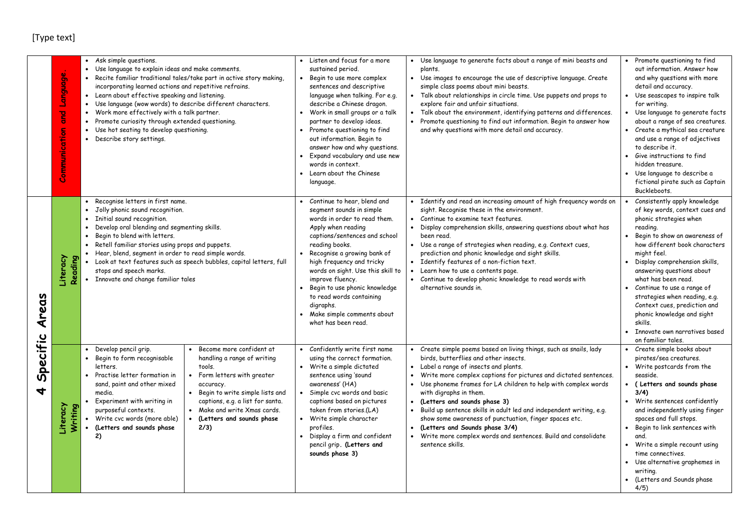## [Type text]

|                                           | Language.<br>g<br>Communication | Ask simple questions.<br>$\bullet$<br>Use language to explain ideas and make comments.<br>$\bullet$<br>Recite familiar traditional tales/take part in active story making,<br>$\bullet$<br>incorporating learned actions and repetitive refrains.<br>Learn about effective speaking and listening.<br>Use language (wow words) to describe different characters.<br>Work more effectively with a talk partner.<br>Promote curiosity through extended questioning.<br>Use hot seating to develop questioning.<br>Describe story settings.                                                               | • Listen and focus for a more<br>sustained period.<br>Begin to use more complex<br>$\bullet$<br>sentences and descriptive<br>language when talking. For e.g.<br>describe a Chinese dragon.<br>• Work in small groups or a talk<br>partner to develop ideas.<br>Promote questioning to find<br>out information. Begin to<br>answer how and why questions.<br>Expand vocabulary and use new<br>$\bullet$<br>words in context.<br>• Learn about the Chinese<br>language. | Use language to generate facts about a range of mini beasts and<br>$\bullet$<br>plants.<br>• Use images to encourage the use of descriptive language. Create<br>simple class poems about mini beasts.<br>Talk about relationships in circle time. Use puppets and props to<br>explore fair and unfair situations.<br>Talk about the environment, identifying patterns and differences.<br>$\bullet$<br>Promote questioning to find out information. Begin to answer how<br>and why questions with more detail and accuracy.                                                                                                                                      | • Promote questioning to find<br>out information. Answer how<br>and why questions with more<br>detail and accuracy.<br>Use seascapes to inspire talk<br>for writing.<br>Use language to generate facts<br>about a range of sea creatures.<br>Create a mythical sea creature<br>and use a range of adjectives<br>to describe it.<br>• Give instructions to find<br>hidden treasure.<br>• Use language to describe a<br>fictional pirate such as Captain<br>Buckleboots.    |
|-------------------------------------------|---------------------------------|--------------------------------------------------------------------------------------------------------------------------------------------------------------------------------------------------------------------------------------------------------------------------------------------------------------------------------------------------------------------------------------------------------------------------------------------------------------------------------------------------------------------------------------------------------------------------------------------------------|-----------------------------------------------------------------------------------------------------------------------------------------------------------------------------------------------------------------------------------------------------------------------------------------------------------------------------------------------------------------------------------------------------------------------------------------------------------------------|------------------------------------------------------------------------------------------------------------------------------------------------------------------------------------------------------------------------------------------------------------------------------------------------------------------------------------------------------------------------------------------------------------------------------------------------------------------------------------------------------------------------------------------------------------------------------------------------------------------------------------------------------------------|---------------------------------------------------------------------------------------------------------------------------------------------------------------------------------------------------------------------------------------------------------------------------------------------------------------------------------------------------------------------------------------------------------------------------------------------------------------------------|
| Areas<br>Specific<br>$\blacktriangleleft$ | Literacy<br>Reading             | Recognise letters in first name.<br>$\bullet$<br>Jolly phonic sound recognition.<br>$\bullet$<br>Initial sound recognition.<br>$\bullet$<br>Develop oral blending and segmenting skills.<br>$\bullet$<br>Begin to blend with letters.<br>$\bullet$<br>Retell familiar stories using props and puppets.<br>$\bullet$<br>Hear, blend, segment in order to read simple words.<br>$\bullet$<br>Look at text features such as speech bubbles, capital letters, full<br>stops and speech marks.<br>Innovate and change familiar tales                                                                        | • Continue to hear, blend and<br>segment sounds in simple<br>words in order to read them.<br>Apply when reading<br>captions/sentences and school<br>reading books.<br>Recognise a growing bank of<br>$\bullet$<br>high frequency and tricky<br>words on sight. Use this skill to<br>improve fluency.<br>Begin to use phonic knowledge<br>to read words containing<br>digraphs.<br>Make simple comments about<br>$\bullet$<br>what has been read.                      | • Identify and read an increasing amount of high frequency words on<br>sight. Recognise these in the environment.<br>• Continue to examine text features.<br>$\bullet$<br>Display comprehension skills, answering questions about what has<br>been read.<br>• Use a range of strategies when reading, e.g. Context cues,<br>prediction and phonic knowledge and sight skills.<br>• Identify features of a non-fiction text.<br>Learn how to use a contents page.<br>• Continue to develop phonic knowledge to read words with<br>alternative sounds in.                                                                                                          | Consistently apply knowledge<br>of key words, context cues and<br>phonic strategies when<br>reading.<br>Begin to show an awareness of<br>how different book characters<br>might feel.<br>Display comprehension skills,<br>answering questions about<br>what has been read.<br>Continue to use a range of<br>strategies when reading, e.g.<br>Context cues, prediction and<br>phonic knowledge and sight<br>skills.<br>Innovate own narratives based<br>on familiar tales. |
|                                           | Literacy<br>Writing             | Become more confident at<br>Develop pencil grip.<br>$\bullet$<br>$\bullet$<br>Begin to form recognisable<br>handling a range of writing<br>tools.<br>letters.<br>Form letters with greater<br>Practise letter formation in<br>$\bullet$<br>sand, paint and other mixed<br>accuracy.<br>media.<br>Begin to write simple lists and<br>$\bullet$<br>Experiment with writing in<br>captions, e.g. a list for santa.<br>purposeful contexts.<br>Make and write Xmas cards.<br>$\bullet$<br>Write cvc words (more able)<br>$\bullet$<br>(Letters and sounds phase<br>(Letters and sounds phase<br>2/3)<br>2) | • Confidently write first name<br>using the correct formation.<br>• Write a simple dictated<br>sentence using 'sound<br>awareness' (HA)<br>Simple cvc words and basic<br>$\bullet$<br>captions based on pictures<br>taken from stories.(LA)<br>• Write simple character<br>profiles.<br>• Display a firm and confident<br>pencil grip. (Letters and<br>sounds phase 3)                                                                                                | Create simple poems based on living things, such as snails, lady<br>birds, butterflies and other insects.<br>• Label a range of insects and plants.<br>Write more complex captions for pictures and dictated sentences.<br>$\bullet$<br>Use phoneme frames for LA children to help with complex words<br>$\bullet$<br>with digraphs in them.<br>(Letters and sounds phase 3)<br>$\bullet$<br>Build up sentence skills in adult led and independent writing, e.g.<br>show some awareness of punctuation, finger spaces etc.<br>(Letters and Sounds phase 3/4)<br>$\bullet$<br>• Write more complex words and sentences. Build and consolidate<br>sentence skills. | • Create simple books about<br>pirates/sea creatures.<br>Write postcards from the<br>$\bullet$<br>seaside.<br>• ( Letters and sounds phase<br>3/4)<br>Write sentences confidently<br>and independently using finger<br>spaces and full stops.<br>Begin to link sentences with<br>and.<br>Write a simple recount using<br>$\bullet$<br>time connectives.<br>Use alternative graphemes in<br>$\bullet$<br>writing.<br>• (Letters and Sounds phase<br>4/5)                   |